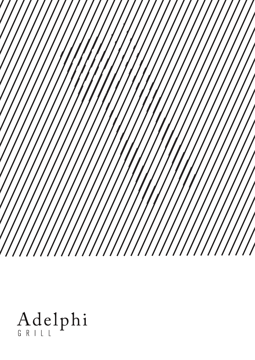$^{\prime}/$  $\sqrt{}$ 

Adelphi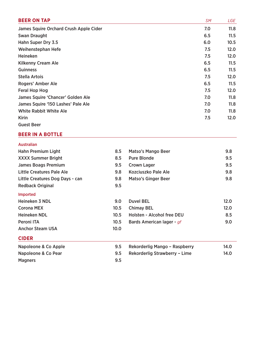| <b>BEER ON TAP</b>                     | <b>SM</b> | LGE  |
|----------------------------------------|-----------|------|
| James Squire Orchard Crush Apple Cider | 7.0       | 11.8 |
| <b>Swan Draught</b>                    | 6.5       | 11.5 |
| Hahn Super Dry 3.5                     | 6.0       | 10.5 |
| Weihenstephan Hefe                     | 7.5       | 12.0 |
| <b>Heineken</b>                        | 7.5       | 12.0 |
| <b>Kilkenny Cream Ale</b>              | 6.5       | 11.5 |
| <b>Guinness</b>                        | 6.5       | 11.5 |
| <b>Stella Artois</b>                   | 7.5       | 12.0 |
| Rogers' Amber Ale                      | 6.5       | 11.5 |
| Feral Hop Hog                          | 7.5       | 12.0 |
| James Squire 'Chancer' Golden Ale      | 7.0       | 11.8 |
| James Squire '150 Lashes' Pale Ale     | 7.0       | 11.8 |
| <b>White Rabbit White Ale</b>          | 7.0       | 11.8 |
| <b>Kirin</b>                           | 7.5       | 12.0 |
| <b>Guest Beer</b>                      |           |      |

## **BEER IN A BOTTLE**

|  | <b>Australian</b> |
|--|-------------------|
|  |                   |

| <b>Hahn Premium Light</b>       | 8.5               | <b>Matso's Mango Beer</b>     | 9.8  |
|---------------------------------|-------------------|-------------------------------|------|
| <b>XXXX Summer Bright</b>       | 8.5               | <b>Pure Blonde</b>            | 9.5  |
| <b>James Boags Premium</b>      | 9.5               | <b>Crown Lager</b>            | 9.5  |
| Little Creatures Pale Ale       | 9.8               | Kozciuszko Pale Ale           | 9.8  |
| Little Creatures Dog Days - can | 9.8               | <b>Matso's Ginger Beer</b>    | 9.8  |
| <b>Redback Original</b>         | 9.5               |                               |      |
| <b>Imported</b>                 |                   |                               |      |
| Heineken 3 NDL                  | 9.0               | <b>Duvel BEL</b>              | 12.0 |
| <b>Corona MEX</b>               | 10.5              | <b>Chimay BEL</b>             | 12.0 |
| <b>Heineken NDL</b>             | 10.5              | Holsten - Alcohol free DEU    | 8.5  |
| Peroni ITA                      | 10.5              | Bards American lager - gf     | 9.0  |
| <b>Anchor Steam USA</b>         | 10.0 <sub>1</sub> |                               |      |
| <b>CIDER</b>                    |                   |                               |      |
| Napoleone & Co Apple            | 9.5               | Rekorderlig Mango - Raspberry | 14.0 |
| Napoleone & Co Pear             | 9.5               | Rekorderlig Strawberry - Lime | 14.0 |
| <b>Magners</b>                  | 9.5               |                               |      |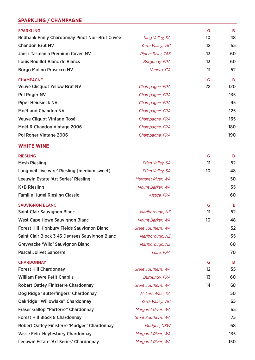# **SPARKLING / CHAMPAGNE**

| <b>SPARKLING</b>                               |                          | G       | B   |
|------------------------------------------------|--------------------------|---------|-----|
| Redbank Emily Chardonnay Pinot Noir Brut Cuvée | King Valley, SA          | 10      | 48  |
| <b>Chandon Brut NV</b>                         | Yarra Valley, VIC        | $12 \,$ | 55  |
| Jansz Tasmania Premium Cuvée NV                | <b>Pipers River, TAS</b> | 13      | 60  |
| <b>Louis Bouillot Blanc de Blancs</b>          | <b>Burgundy, FRA</b>     | 13      | 60  |
| <b>Borgo Molino Prosecco NV</b>                | Veneto, ITA              | 11      | 52  |
| <b>CHAMPAGNE</b>                               |                          | G       | B   |
| <b>Veuve Clicquot Yellow Brut NV</b>           | Champagne, FRA           | 22      | 120 |
| Pol Roger NV                                   | Champagne, FRA           |         | 135 |
| <b>Piper Heidsieck NV</b>                      | Champagne, FRA           |         | 95  |
| <b>Moët and Chandon NV</b>                     | Champagne, FRA           |         | 125 |
| <b>Veuve Cliquot Vintage Rosé</b>              | Champagne, FRA           |         | 165 |
| Moët & Chandon Vintage 2006                    | Champagne, FRA           |         | 180 |
| Pol Roger Vintage 2006                         | Champagne, FRA           |         | 190 |
|                                                |                          |         |     |

# **WHITE WINE**

| <b>RIESLING</b>                                |                      | G               | B   |
|------------------------------------------------|----------------------|-----------------|-----|
| <b>Mesh Riesling</b>                           | Eden Valley, SA      | 11              | 52  |
| Langmeil 'live wire' Riesling (medium sweet)   | Eden Valley, SA      | 10              | 48  |
| <b>Leeuwin Estate 'Art Series' Riesling</b>    | Margaret River, WA   |                 | 50  |
| <b>K+B Riesling</b>                            | Mount Barker, WA     |                 | 55  |
| <b>Famille Hugel Riesling Classic</b>          | Alsace, FRA          |                 | 60  |
| <b>SAUVIGNON BLANC</b>                         |                      | G               | B   |
| <b>Saint Clair Sauvignon Blanc</b>             | Marlborough, NZ      | 11              | 52  |
| <b>West Cape Howe Sauvignon Blanc</b>          | Mount Barker, WA     | 10 <sup>°</sup> | 48  |
| Forest Hill Highbury Fields Sauvignon Blanc    | Great Southern, WA   |                 | 52  |
| Saint Clair Block 3 43 Degrees Sauvignon Blanc | Marlborough, NZ      |                 | 55  |
| Greywacke 'Wild' Sauvignon Blanc               | Marlborough, NZ      |                 | 60  |
| <b>Pascal Jolivet Sancerre</b>                 | Loire, FRA           |                 | 70  |
| <b>CHARDONNAY</b>                              |                      | G               | B   |
| <b>Forest Hill Chardonnay</b>                  | Great Southern, WA   | $12 \,$         | 55  |
| <b>William Fevre Petit Chablis</b>             | <b>Burgundy, FRA</b> | 13              | 60  |
| <b>Robert Oatley Finisterre Chardonnay</b>     | Great Southern, WA   | 14              | 68  |
| Dog Ridge 'Butterfingers' Chardonnay           | McLarenVale, SA      |                 | 50  |
| Oakridge "Willowlake" Chardonnay               | Yarra Valley, VIC    |                 | 65  |
| <b>Fraser Gallop "Parterre" Chardonnay</b>     | Margaret River, WA   |                 | 65  |
| <b>Forest Hill Block 8 Chardonnay</b>          | Great Southern, WA   |                 | 75  |
| Robert Oatley Finisterre 'Mudgee' Chardonnay   | Mudgee, NSW          |                 | 68  |
| Vasse Felix Heytesbury Chardonnay              | Margaret River, WA   |                 | 135 |
| Leeuwin Estate 'Art Series' Chardonnay         | Margaret River, WA   |                 | 150 |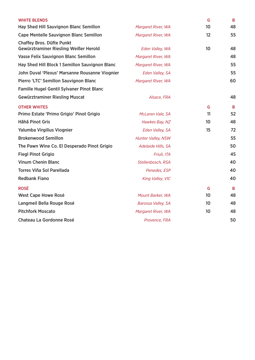| <b>WHITE BLENDS</b>                                                       |                    | G               | B  |
|---------------------------------------------------------------------------|--------------------|-----------------|----|
| Hay Shed Hill Sauvignon Blanc Semillon                                    | Margaret River, WA | 10              | 48 |
| <b>Cape Mentelle Sauvignon Blanc Semillon</b>                             | Margaret River, WA | 12              | 55 |
| <b>Chaffey Bros. Düfte Punkt</b><br>Gewürztraminer Riesling Weißer Herold | Eden Valley, WA    | 10 <sup>°</sup> | 48 |
| Vasse Felix Sauvignon Blanc Semillon                                      | Margaret River, WA |                 | 48 |
| Hay Shed Hill Block 1 Semillon Sauvignon Blanc                            | Margaret River, WA |                 | 55 |
| John Duval 'Plexus' Marsanne Rousanne Viognier                            | Eden Valley, SA    |                 | 55 |
| Pierro 'LTC' Semillon Sauvignon Blanc                                     | Margaret River, WA |                 | 60 |
| <b>Famille Hugel Gentil Sylvaner Pinot Blanc</b>                          |                    |                 |    |
| <b>Gewürztraminer Riesling Muscat</b>                                     | Alsace, FRA        |                 | 48 |
| <b>OTHER WHITES</b>                                                       |                    | G               | B  |
| Primo Estate 'Primo Grigio' Pinot Grigio                                  | McLaren Vale, SA   | 11              | 52 |
| Hãhã Pinot Gris                                                           | Hawkes Bay, NZ     | 10 <sup>°</sup> | 48 |
| Yalumba Virgilius Viognier                                                | Eden Valley, SA    | 15              | 72 |
| <b>Brokenwood Semillon</b>                                                | Hunter Valley, NSW |                 | 55 |
| The Pawn Wine Co. El Desperado Pinot Grigio                               | Adelaide Hills, SA |                 | 50 |
| <b>Fiegl Pinot Grigio</b>                                                 | Friuli, ITA        |                 | 45 |
| <b>Vinum Chenin Blanc</b>                                                 | Stellenbosch, RSA  |                 | 40 |
| <b>Torres Viña Sol Parellada</b>                                          | Penedes, ESP       |                 | 40 |
| <b>Redbank Fiano</b>                                                      | King Valley, VIC   |                 | 40 |
| <b>ROSÉ</b>                                                               |                    | G               | B  |
| <b>West Cape Howe Rosé</b>                                                | Mount Barker, WA   | 10              | 48 |
| Langmeil Bella Rouge Rosé                                                 | Barossa Valley, SA | 10              | 48 |
| <b>Pitchfork Moscato</b>                                                  | Margaret River, WA | 10 <sup>°</sup> | 48 |
| <b>Chateau La Gordonne Rosé</b>                                           | Provence, FRA      |                 | 50 |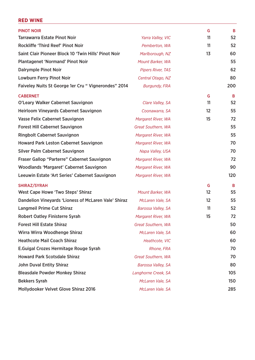## **RED WINE**

| <b>PINOT NOIR</b>                                    |                           | G                 | B   |
|------------------------------------------------------|---------------------------|-------------------|-----|
| <b>Tarrawarra Estate Pinot Noir</b>                  | Yarra Valley, VIC         | 11                | 52  |
| Rockliffe 'Third Reef' Pinot Noir                    | Pemberton, WA             | 11                | 52  |
| Saint Clair Pioneer Block 10 'Twin Hills' Pinot Noir | Marlborough, NZ           | 13                | 60  |
| <b>Plantagenet 'Normand' Pinot Noir</b>              | Mount Barker, WA          |                   | 55  |
| <b>Dalrymple Pinot Noir</b>                          | <b>Pipers River, TAS</b>  |                   | 62  |
| <b>Lowburn Ferry Pinot Noir</b>                      | Central Otago, NZ         |                   | 80  |
| Faiveley Nuits St George 1er Cru " Vignerondes" 2014 | <b>Burgundy, FRA</b>      |                   | 200 |
| <b>CABERNET</b>                                      |                           | G                 | B   |
| O'Leary Walker Cabernet Sauvignon                    | Clare Valley, SA          | 11                | 52  |
| <b>Heirloom Vineyards Cabernet Sauvignon</b>         | Coonawarra, SA            | 12                | 55  |
| <b>Vasse Felix Cabernet Sauvignon</b>                | Margaret River, WA        | 15                | 72  |
| <b>Forest Hill Cabernet Sauvignon</b>                | Great Southern, WA        |                   | 55  |
| <b>Ringbolt Cabernet Sauvignon</b>                   | Margaret River, WA        |                   | 55  |
| <b>Howard Park Leston Cabernet Sauvignon</b>         | Margaret River, WA        |                   | 70  |
| <b>Silver Palm Cabernet Sauvignon</b>                | Napa Valley, USA          |                   | 70  |
| Fraser Gallop "Parterre" Cabernet Sauvignon          | Margaret River, WA        |                   | 72  |
| <b>Woodlands 'Margaret' Cabernet Sauvignon</b>       | Margaret River, WA        |                   | 90  |
| Leeuwin Estate 'Art Series' Cabernet Sauvignon       | Margaret River, WA        |                   | 120 |
| SHIRAZ/SYRAH                                         |                           | G                 | B   |
| <b>West Cape Howe 'Two Steps' Shiraz</b>             | Mount Barker, WA          | 12                | 55  |
| Dandelion Vineyards 'Lioness of McLaren Vale' Shiraz | McLaren Vale, SA          | $12 \overline{ }$ | 55  |
| <b>Langmeil Prime Cut Shiraz</b>                     | <b>Barossa Valley, SA</b> | 11                | 52  |
| <b>Robert Oatley Finisterre Syrah</b>                | Margaret River, WA        | 15                | 72  |
| <b>Forest Hill Estate Shiraz</b>                     | Great Southern, WA        |                   | 50  |
| Wirra Wirra Woodhenge Shiraz                         | McLaren Vale, SA          |                   | 60  |
| <b>Heathcote Mail Coach Shiraz</b>                   | Heathcote, VIC            |                   | 60  |
| E.Guigal Crozes Hermitage Rouge Syrah                | Rhone, FRA                |                   | 70  |
| <b>Howard Park Scotsdale Shiraz</b>                  | Great Southern, WA        |                   | 70  |
| <b>John Duval Entity Shiraz</b>                      | Barossa Valley, SA        |                   | 80  |
| <b>Bleasdale Powder Monkey Shiraz</b>                | Langhorne Creek, SA       |                   | 105 |
| <b>Bekkers Syrah</b>                                 | McLaren Vale, SA          |                   | 150 |
| Mollydooker Velvet Glove Shiraz 2016                 | McLaren Vale. SA          |                   | 285 |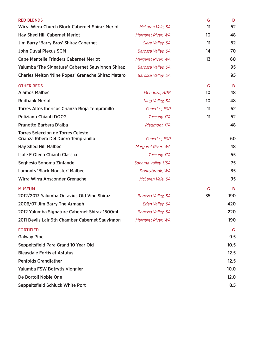| <b>RED BLENDS</b>                                                                 |                           | G  | B                 |
|-----------------------------------------------------------------------------------|---------------------------|----|-------------------|
| Wirra Wirra Church Block Cabernet Shiraz Merlot                                   | McLaren Vale, SA          | 11 | 52                |
| <b>Hay Shed Hill Cabernet Merlot</b>                                              | Margaret River, WA        | 10 | 48                |
| Jim Barry 'Barry Bros' Shiraz Cabernet                                            | Clare Valley, SA          | 11 | 52                |
| <b>John Duval Plexus SGM</b>                                                      | Barossa Valley, SA        | 14 | 70                |
| <b>Cape Mentelle Trinders Cabernet Merlot</b>                                     | Margaret River, WA        | 13 | 60                |
| Yalumba 'The Signature' Cabernet Sauvignon Shiraz                                 | <b>Barossa Valley, SA</b> |    | 95                |
| <b>Charles Melton 'Nine Popes' Grenache Shiraz Mataro</b>                         | <b>Barossa Valley, SA</b> |    | 95                |
| <b>OTHER REDS</b>                                                                 |                           | G  | B                 |
| <b>Alamos Malbec</b>                                                              | Mendoza, ARG              | 10 | 48                |
| <b>Redbank Merlot</b>                                                             | King Valley, SA           | 10 | 48                |
| Torres Altos Ibericos Crianza Rioja Tempranillo                                   | Penedes, ESP              | 11 | 52                |
| <b>Poliziano Chianti DOCG</b>                                                     | Tuscany, ITA              | 11 | 52                |
| Prunotto Barbera D'alba                                                           | Piedmont, ITA             |    | 48                |
| <b>Torres Seleccion de Torres Celeste</b><br>Crianza Ribera Del Duero Tempranillo | Penedes, ESP              |    | 60                |
| <b>Hay Shed Hill Malbec</b>                                                       | Margaret River, WA        |    | 48                |
| <b>Isole E Olena Chianti Classico</b>                                             | Tuscany, ITA              |    | 55                |
| Seghesio Sonoma Zinfandel                                                         | Sonama Valley, USA        |    | 75                |
| <b>Lamonts 'Black Monster' Malbec</b>                                             | Donnybrook, WA            |    | 85                |
| Wirra Wirra Absconder Grenache                                                    | McLaren Vale, SA          |    | 95                |
| <b>MUSEUM</b>                                                                     |                           | G  | B                 |
| 2012/2013 Yalumba Octavius Old Vine Shiraz                                        | <b>Barossa Valley, SA</b> | 35 | 190               |
| 2006/07 Jim Barry The Armagh                                                      | Eden Valley, SA           |    | 420               |
| 2012 Yalumba Signature Cabernet Shiraz 1500ml                                     | Barossa Valley, SA        |    | 220               |
| 2011 Devils Lair 9th Chamber Cabernet Sauvignon                                   | Margaret River, WA        |    | 190               |
| <b>FORTIFIED</b><br><b>Galway Pipe</b>                                            |                           |    | G<br>9.5          |
| Seppeltsfield Para Grand 10 Year Old                                              |                           |    | 10.5              |
| <b>Bleasdale Fortis et Astutus</b>                                                |                           |    | 12.5              |
| <b>Penfolds Grandfather</b>                                                       |                           |    | 12.5              |
| Yalumba FSW Botrytis Viognier                                                     |                           |    | 10.0 <sub>1</sub> |
| De Bortoli Noble One                                                              |                           |    | 12.0              |
| Seppeltsfield Schluck White Port                                                  |                           |    | 8.5               |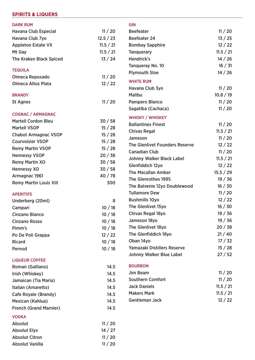# **SPIRITS & LIQUERS**

| <b>DARK RUM</b>                |           | <b>GIN</b>                       |           |
|--------------------------------|-----------|----------------------------------|-----------|
| <b>Havana Club Especial</b>    | 11/20     | <b>Beefeater</b>                 | 11/20     |
| Havana Club 7yo                | 12.5 / 23 | <b>Beefeater 24</b>              | 13/25     |
| <b>Appleton Estate VX</b>      | 11.5 / 21 | <b>Bombay Sapphire</b>           | 12/22     |
| Mt Gay                         | 11.5 / 21 | <b>Tanguerary</b>                | 11.5 / 21 |
| <b>The Kraken Black Spiced</b> | 13/24     | Hendrick's                       | 14 / 26   |
|                                |           | Tanqueray No. 10                 | 16 / 31   |
| <b>TEQUILA</b>                 |           | <b>Plymouth Sloe</b>             | 14/26     |
| Olmeca Reposado                | 11/20     | <b>WHITE RUM</b>                 |           |
| <b>Olmeca Altos Plata</b>      | 12/22     | Havana Club 3yo                  | 11/20     |
| <b>BRANDY</b>                  |           | <b>Malibu</b>                    | 10.8 / 19 |
| <b>St Agnes</b>                | 11/20     | Pampero Blanco                   | 11/20     |
|                                |           | Sagatiba (Cachaca)               | 11/20     |
| <b>COGNAC / ARMAGNAC</b>       |           |                                  |           |
| <b>Martell Cordon Bleu</b>     | 30/58     | <b>WHISKY / WHISKEY</b>          |           |
| <b>Martell VSOP</b>            | 15/28     | <b>Ballantines Finest</b>        | 11/20     |
| <b>Chabot Armagnac VSOP</b>    | 15/28     | <b>Chivas Regal</b>              | 11.5 / 21 |
| <b>Courvoisier VSOP</b>        | 15/28     | Jameson                          | 11/20     |
| <b>Remy Martin VSOP</b>        | 15/28     | The Glenlivet Founders Reserve   | 12/22     |
| <b>Hennessy VSOP</b>           | 20/38     | <b>Canadian Club</b>             | 11/20     |
| <b>Remy Martin XO</b>          | 30/58     | <b>Johnny Walker Black Label</b> | 11.5 / 21 |
| <b>Hennessy XO</b>             | 30/58     | Glenfiddich 12yo                 | 12/22     |
| Armagnac 1961                  | 40 / 78   | <b>The Macallan Amber</b>        | 15.5 / 29 |
| <b>Remy Martin Louis XIII</b>  | 300       | The Glenrothes 1995              | 19/36     |
|                                |           | The Balvenie 12yo Doublewood     | 16/30     |
| <b>APERITIFS</b>               |           | <b>Tullamore Dew</b>             | 11/20     |
| Underberg (20ml)               | 8         | <b>Bushmills 10yo</b>            | 12/22     |
| Campari                        | 10/18     | The Glenlivet 15yo               | 16 / 30   |
| <b>Cinzano Bianco</b>          | 10/18     | Chivas Regal 18yo                | 19/36     |
| <b>Cinzano Rosso</b>           | 10/18     | Jameson 18yo                     | 19/36     |
| Pimm's                         | 10/18     | The Glenlivet 18yo               | 20/38     |
| Po De Poli Grappa              | 12/22     | The Glenfiddich 18yo             | 21/40     |
| <b>Ricard</b>                  | 10/18     | Oban 14yo                        | 17/32     |
| Pernod                         | 10/18     | Yamazaki Distillers Reserve      | 15/28     |
|                                |           | Johnny Walker Blue Label         | 27/52     |
| <b>LIQUEUR COFFEE</b>          |           |                                  |           |
| Roman (Galliano)               | 14.5      | <b>BOURBON</b>                   |           |
| Irish (Whiskey)                | 14.5      | Jim Beam                         | 11/20     |
| Jamaican (Tia Maria)           | 14.5      | <b>Southern Comfort</b>          | 11/20     |
| Italian (Amaretto)             | 14.5      | <b>Jack Daniels</b>              | 11.5 / 21 |
| <b>Cafe Royale (Brandy)</b>    | 14.5      | <b>Makers Mark</b>               | 11.5 / 21 |
| Mexican (Kahlua)               | 14.5      | <b>Gentleman Jack</b>            | 12/22     |
| <b>French (Grand Marnier)</b>  | 14.5      |                                  |           |
| <b>VODKA</b>                   |           |                                  |           |
| <b>Absolut</b>                 | 11/20     |                                  |           |
| <b>Absolut Elyx</b>            | 14/27     |                                  |           |
| <b>Absolut Citron</b>          | 11/20     |                                  |           |
| Absolut Vanilla                | 11/20     |                                  |           |